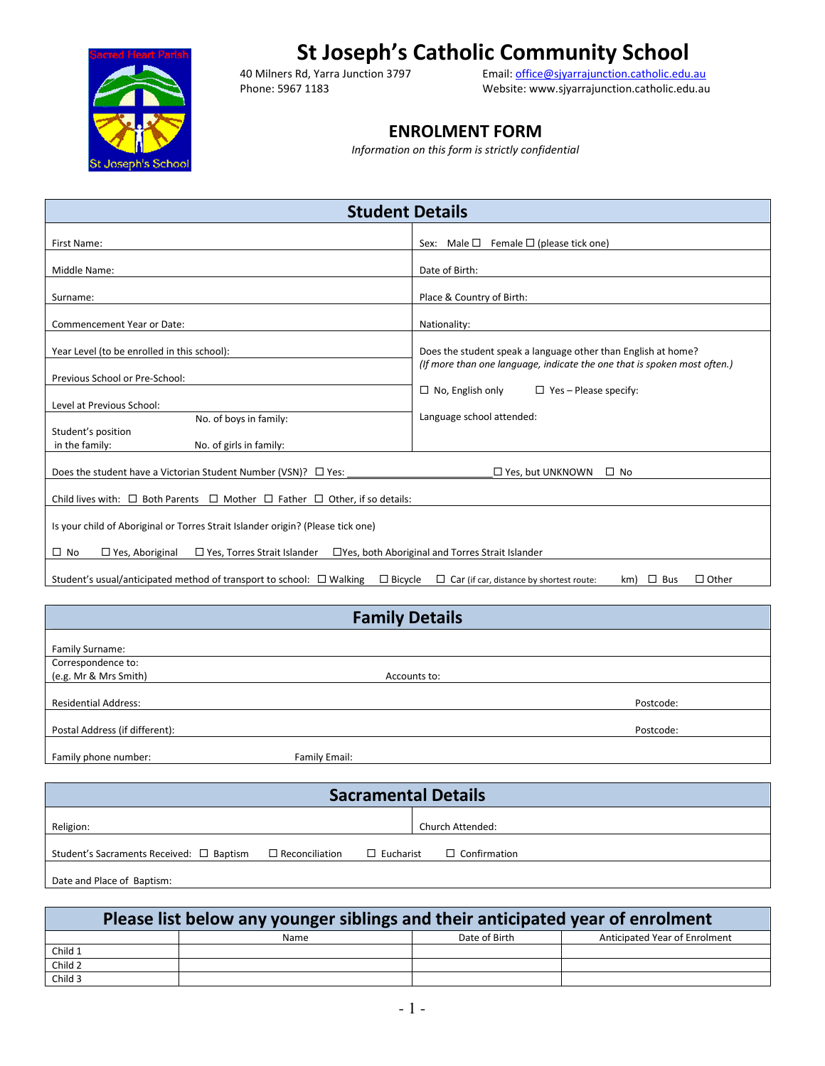

# **St Joseph's Catholic Community School**<br>40 Milners Rd, Yarra Junction 3797 **Email: office@sjyarrajunction.catholic.edu.**

40 Milners Rd, Yarra Junction 3797 Email: office@sjyarrajunction.catholic.edu.au<br>Phone: 5967 1183 Phone: Website: www.sjyarrajunction.catholic.edu.au Website: www.sjyarrajunction.catholic.edu.au

## **ENROLMENT FORM**

*Information on this form is strictly confidential* 

| <b>Student Details</b>                                                                                                         |                                                                                   |  |  |  |  |
|--------------------------------------------------------------------------------------------------------------------------------|-----------------------------------------------------------------------------------|--|--|--|--|
| First Name:                                                                                                                    | Male $\Box$<br>Female $\Box$ (please tick one)<br>Sex:                            |  |  |  |  |
| Middle Name:                                                                                                                   | Date of Birth:                                                                    |  |  |  |  |
| Surname:                                                                                                                       | Place & Country of Birth:                                                         |  |  |  |  |
| Commencement Year or Date:                                                                                                     | Nationality:                                                                      |  |  |  |  |
| Year Level (to be enrolled in this school):                                                                                    | Does the student speak a language other than English at home?                     |  |  |  |  |
| Previous School or Pre-School:                                                                                                 | (If more than one language, indicate the one that is spoken most often.)          |  |  |  |  |
| Level at Previous School:                                                                                                      | $\Box$ No, English only<br>$\Box$ Yes - Please specify:                           |  |  |  |  |
| No. of boys in family:<br>Student's position                                                                                   | Language school attended:                                                         |  |  |  |  |
| in the family:<br>No. of girls in family:                                                                                      |                                                                                   |  |  |  |  |
| Does the student have a Victorian Student Number (VSN)? $\Box$ Yes:                                                            | $\Box$ Yes, but UNKNOWN<br>$\Box$ No                                              |  |  |  |  |
| Child lives with: $\Box$ Both Parents $\Box$ Mother $\Box$ Father $\Box$ Other, if so details:                                 |                                                                                   |  |  |  |  |
| Is your child of Aboriginal or Torres Strait Islander origin? (Please tick one)                                                |                                                                                   |  |  |  |  |
| $\Box$ No<br>$\Box$ Yes, Aboriginal<br>$\Box$ Yes, Torres Strait Islander<br>□ Yes, both Aboriginal and Torres Strait Islander |                                                                                   |  |  |  |  |
| Student's usual/anticipated method of transport to school: $\Box$ Walking<br>$\Box$ Bicycle                                    | $\Box$ Other<br>$\Box$ Car (if car, distance by shortest route:<br>km) $\Box$ Bus |  |  |  |  |

|                                | <b>Family Details</b> |           |
|--------------------------------|-----------------------|-----------|
| Family Surname:                |                       |           |
| Correspondence to:             |                       |           |
| (e.g. Mr & Mrs Smith)          | Accounts to:          |           |
|                                |                       |           |
| <b>Residential Address:</b>    |                       | Postcode: |
|                                |                       |           |
| Postal Address (if different): |                       | Postcode: |
| Family phone number:           | Family Email:         |           |

|                                          |                       |                  | <b>Sacramental Details</b> |
|------------------------------------------|-----------------------|------------------|----------------------------|
| Religion:                                |                       |                  | Church Attended:           |
| Student's Sacraments Received: □ Baptism | $\Box$ Reconciliation | $\Box$ Eucharist | $\Box$ Confirmation        |
| Date and Place of Baptism:               |                       |                  |                            |

| Please list below any younger siblings and their anticipated year of enrolment |  |      |               |                               |  |
|--------------------------------------------------------------------------------|--|------|---------------|-------------------------------|--|
|                                                                                |  | Name | Date of Birth | Anticipated Year of Enrolment |  |
| Child 1                                                                        |  |      |               |                               |  |
| Child 2                                                                        |  |      |               |                               |  |
| Child 3                                                                        |  |      |               |                               |  |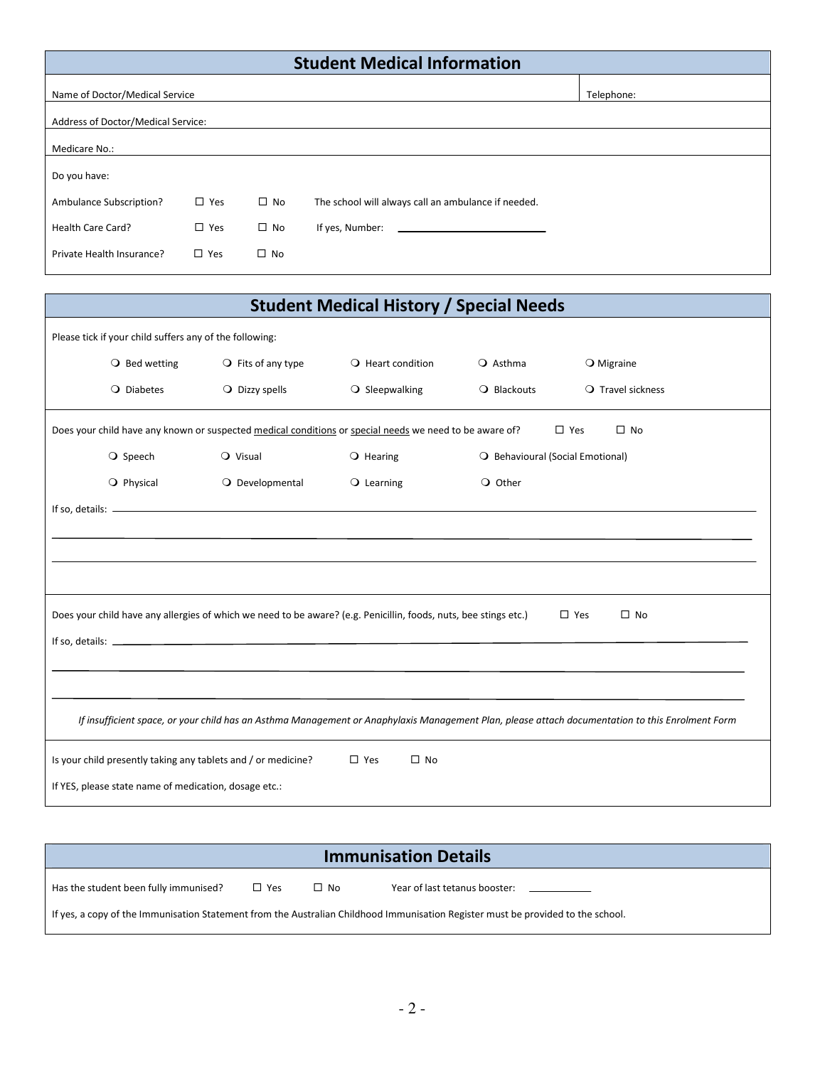|                                    |               |              | <b>Student Medical Information</b>                  |            |  |
|------------------------------------|---------------|--------------|-----------------------------------------------------|------------|--|
| Name of Doctor/Medical Service     |               |              |                                                     | Telephone: |  |
| Address of Doctor/Medical Service: |               |              |                                                     |            |  |
| Medicare No.:                      |               |              |                                                     |            |  |
| Do you have:                       |               |              |                                                     |            |  |
| Ambulance Subscription?            | $\Box$ Yes    | $\square$ No | The school will always call an ambulance if needed. |            |  |
| Health Care Card?                  | $\square$ Yes | $\square$ No | If yes, Number:                                     |            |  |
| Private Health Insurance?          | $\Box$ Yes    | $\square$ No |                                                     |            |  |

| <b>Student Medical History / Special Needs</b>                |                                                                                                                  |                               |                                  |                                                                                                                                                  |
|---------------------------------------------------------------|------------------------------------------------------------------------------------------------------------------|-------------------------------|----------------------------------|--------------------------------------------------------------------------------------------------------------------------------------------------|
| Please tick if your child suffers any of the following:       |                                                                                                                  |                               |                                  |                                                                                                                                                  |
| $\bigcirc$ Bed wetting                                        | $\bigcirc$ Fits of any type                                                                                      | $\bigcirc$ Heart condition    | $\bigcirc$ Asthma                | $\bigcirc$ Migraine                                                                                                                              |
| O Diabetes                                                    | $\bigcirc$ Dizzy spells                                                                                          | O Sleepwalking                | O Blackouts                      | $\bigcirc$ Travel sickness                                                                                                                       |
|                                                               | Does your child have any known or suspected medical conditions or special needs we need to be aware of?          |                               | $\square$ Yes                    | $\square$ No                                                                                                                                     |
| ○ Speech                                                      | $Q$ Visual                                                                                                       | $\bigcirc$ Hearing            | O Behavioural (Social Emotional) |                                                                                                                                                  |
| O Physical                                                    | O Developmental                                                                                                  | $\bigcirc$ Learning           | O Other                          |                                                                                                                                                  |
|                                                               |                                                                                                                  |                               |                                  |                                                                                                                                                  |
|                                                               |                                                                                                                  |                               |                                  |                                                                                                                                                  |
|                                                               |                                                                                                                  |                               |                                  |                                                                                                                                                  |
|                                                               |                                                                                                                  |                               |                                  |                                                                                                                                                  |
|                                                               | Does your child have any allergies of which we need to be aware? (e.g. Penicillin, foods, nuts, bee stings etc.) |                               | $\square$ Yes                    | $\square$ No                                                                                                                                     |
|                                                               |                                                                                                                  |                               |                                  |                                                                                                                                                  |
|                                                               |                                                                                                                  |                               |                                  |                                                                                                                                                  |
|                                                               |                                                                                                                  |                               |                                  |                                                                                                                                                  |
|                                                               |                                                                                                                  |                               |                                  | If insufficient space, or your child has an Asthma Management or Anaphylaxis Management Plan, please attach documentation to this Enrolment Form |
| Is your child presently taking any tablets and / or medicine? |                                                                                                                  | $\square$ No<br>$\square$ Yes |                                  |                                                                                                                                                  |
| If YES, please state name of medication, dosage etc.:         |                                                                                                                  |                               |                                  |                                                                                                                                                  |

|                                       |       |           | <b>Immunisation Details</b>                                                                                                                            |
|---------------------------------------|-------|-----------|--------------------------------------------------------------------------------------------------------------------------------------------------------|
| Has the student been fully immunised? | ⊡ Yes | $\Box$ No | Year of last tetanus booster:<br><u> 1980 - Jan Alexandro III, populație de la provincia de la provincia de la provincia de la provincia de la pro</u> |
|                                       |       |           | If yes, a copy of the Immunisation Statement from the Australian Childhood Immunisation Register must be provided to the school.                       |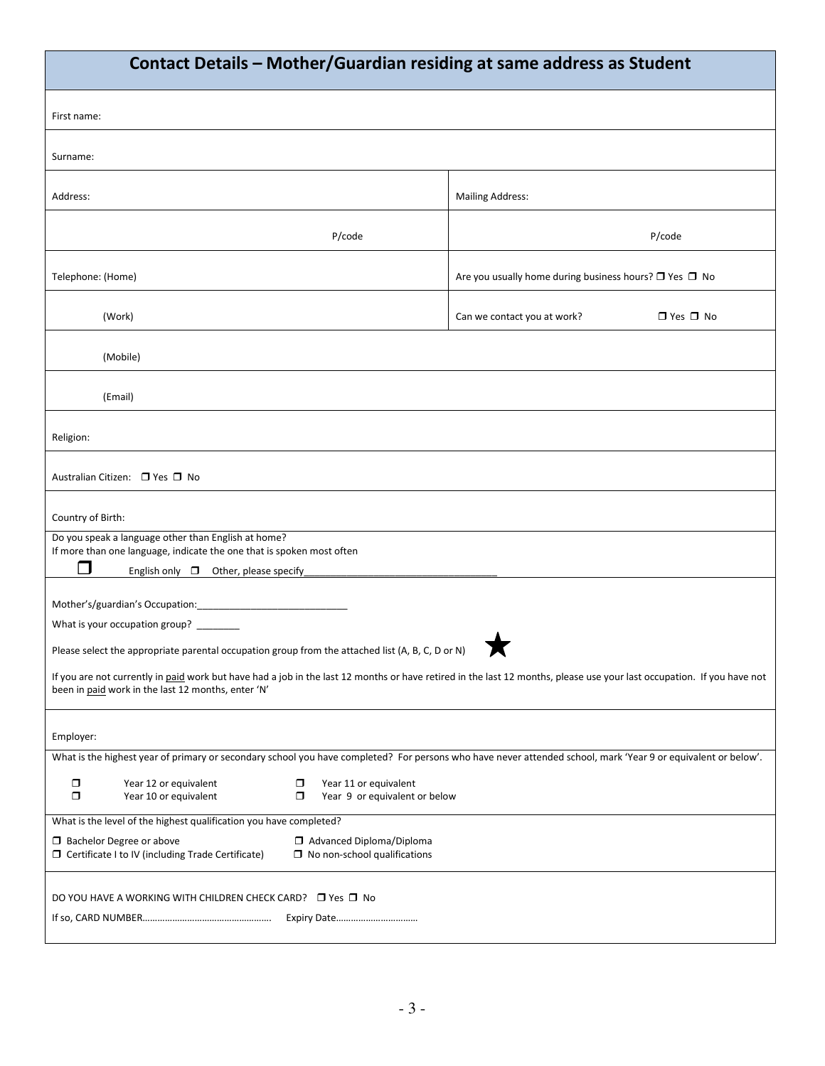| Contact Details - Mother/Guardian residing at same address as Student                                                                                                               |                                                                                                                                                                        |  |  |  |
|-------------------------------------------------------------------------------------------------------------------------------------------------------------------------------------|------------------------------------------------------------------------------------------------------------------------------------------------------------------------|--|--|--|
| First name:                                                                                                                                                                         |                                                                                                                                                                        |  |  |  |
| Surname:                                                                                                                                                                            |                                                                                                                                                                        |  |  |  |
| Address:                                                                                                                                                                            | <b>Mailing Address:</b>                                                                                                                                                |  |  |  |
| P/code                                                                                                                                                                              | P/code                                                                                                                                                                 |  |  |  |
| Telephone: (Home)                                                                                                                                                                   | Are you usually home during business hours? $\Box$ Yes $\Box$ No                                                                                                       |  |  |  |
| (Work)                                                                                                                                                                              | $\Box$ Yes $\Box$ No<br>Can we contact you at work?                                                                                                                    |  |  |  |
| (Mobile)                                                                                                                                                                            |                                                                                                                                                                        |  |  |  |
| (Email)                                                                                                                                                                             |                                                                                                                                                                        |  |  |  |
| Religion:                                                                                                                                                                           |                                                                                                                                                                        |  |  |  |
| Australian Citizen: □ Yes □ No                                                                                                                                                      |                                                                                                                                                                        |  |  |  |
| Country of Birth:                                                                                                                                                                   |                                                                                                                                                                        |  |  |  |
| Do you speak a language other than English at home?<br>If more than one language, indicate the one that is spoken most often<br>$\Box$<br>English only $\Box$ Other, please specify |                                                                                                                                                                        |  |  |  |
| Mother's/guardian's Occupation: _________________                                                                                                                                   |                                                                                                                                                                        |  |  |  |
| What is your occupation group? ______                                                                                                                                               |                                                                                                                                                                        |  |  |  |
| Please select the appropriate parental occupation group from the attached list (A, B, C, D or N)                                                                                    |                                                                                                                                                                        |  |  |  |
| been in paid work in the last 12 months, enter 'N'                                                                                                                                  | If you are not currently in paid work but have had a job in the last 12 months or have retired in the last 12 months, please use your last occupation. If you have not |  |  |  |
| Employer:                                                                                                                                                                           |                                                                                                                                                                        |  |  |  |
|                                                                                                                                                                                     | What is the highest year of primary or secondary school you have completed? For persons who have never attended school, mark 'Year 9 or equivalent or below'.          |  |  |  |
| $\Box$<br>Year 12 or equivalent<br>$\Box$<br>Year 11 or equivalent<br>$\Box$<br>Year 10 or equivalent<br>$\Box$                                                                     | Year 9 or equivalent or below                                                                                                                                          |  |  |  |
| What is the level of the highest qualification you have completed?                                                                                                                  |                                                                                                                                                                        |  |  |  |
| <b>3</b> Bachelor Degree or above<br>Advanced Diploma/Diploma<br>□ Certificate I to IV (including Trade Certificate)<br>$\Box$ No non-school qualifications                         |                                                                                                                                                                        |  |  |  |
| DO YOU HAVE A WORKING WITH CHILDREN CHECK CARD? □ Yes □ No                                                                                                                          |                                                                                                                                                                        |  |  |  |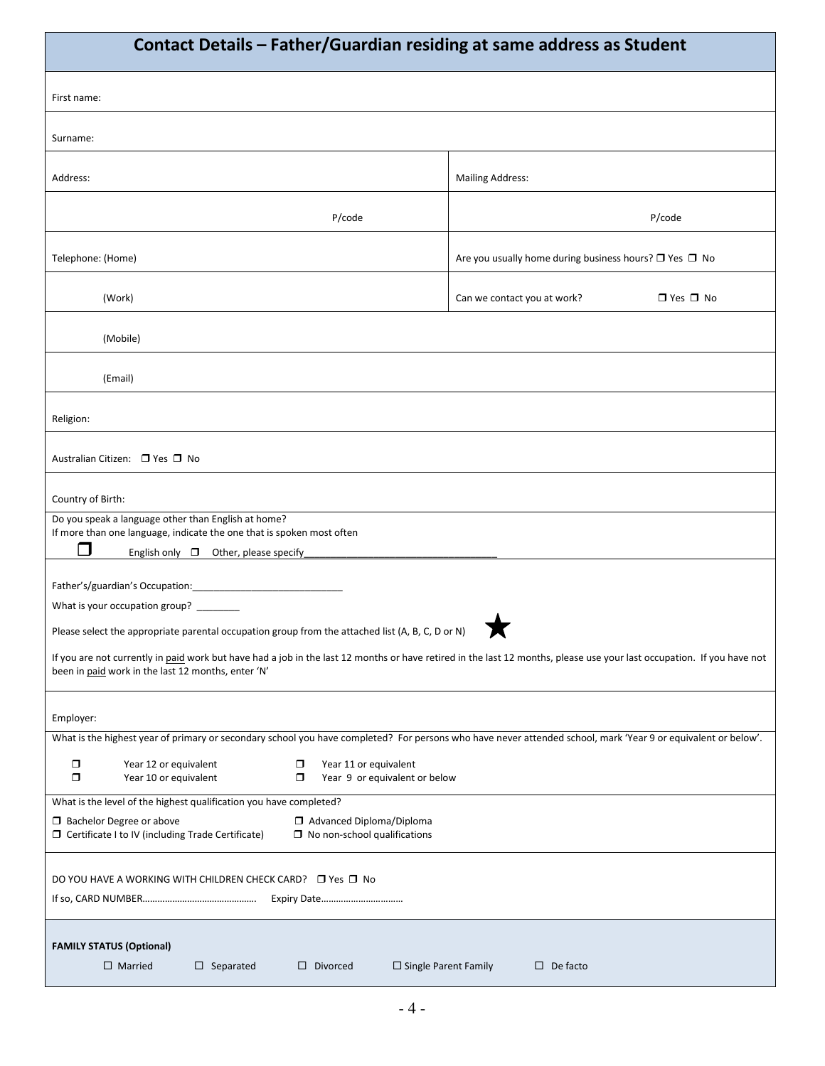| Contact Details - Father/Guardian residing at same address as Student                                                                                                                                                        |                                                                  |  |  |  |  |
|------------------------------------------------------------------------------------------------------------------------------------------------------------------------------------------------------------------------------|------------------------------------------------------------------|--|--|--|--|
| First name:                                                                                                                                                                                                                  |                                                                  |  |  |  |  |
| Surname:                                                                                                                                                                                                                     |                                                                  |  |  |  |  |
| Address:                                                                                                                                                                                                                     | <b>Mailing Address:</b>                                          |  |  |  |  |
| P/code                                                                                                                                                                                                                       | P/code                                                           |  |  |  |  |
| Telephone: (Home)                                                                                                                                                                                                            | Are you usually home during business hours? $\Box$ Yes $\Box$ No |  |  |  |  |
| (Work)                                                                                                                                                                                                                       | $\Box$ Yes $\Box$ No<br>Can we contact you at work?              |  |  |  |  |
| (Mobile)                                                                                                                                                                                                                     |                                                                  |  |  |  |  |
| (Email)                                                                                                                                                                                                                      |                                                                  |  |  |  |  |
| Religion:                                                                                                                                                                                                                    |                                                                  |  |  |  |  |
| Australian Citizen: □ Yes □ No                                                                                                                                                                                               |                                                                  |  |  |  |  |
| Country of Birth:                                                                                                                                                                                                            |                                                                  |  |  |  |  |
| Do you speak a language other than English at home?<br>If more than one language, indicate the one that is spoken most often                                                                                                 |                                                                  |  |  |  |  |
| П<br>English only $\Box$ Other, please specify                                                                                                                                                                               |                                                                  |  |  |  |  |
|                                                                                                                                                                                                                              |                                                                  |  |  |  |  |
| What is your occupation group? _______                                                                                                                                                                                       |                                                                  |  |  |  |  |
| Please select the appropriate parental occupation group from the attached list (A, B, C, D or N)<br>◚                                                                                                                        |                                                                  |  |  |  |  |
| If you are not currently in paid work but have had a job in the last 12 months or have retired in the last 12 months, please use your last occupation. If you have not<br>been in paid work in the last 12 months, enter 'N' |                                                                  |  |  |  |  |
| Employer:                                                                                                                                                                                                                    |                                                                  |  |  |  |  |
| What is the highest year of primary or secondary school you have completed? For persons who have never attended school, mark 'Year 9 or equivalent or below'.                                                                |                                                                  |  |  |  |  |
| $\Box$<br>Year 12 or equivalent<br>Year 11 or equivalent<br>$\Box$<br>$\Box$<br>$\Box$<br>Year 9 or equivalent or below<br>Year 10 or equivalent                                                                             |                                                                  |  |  |  |  |
| What is the level of the highest qualification you have completed?                                                                                                                                                           |                                                                  |  |  |  |  |
| Advanced Diploma/Diploma<br><b>Bachelor Degree or above</b><br>□ Certificate I to IV (including Trade Certificate)<br>$\Box$ No non-school qualifications                                                                    |                                                                  |  |  |  |  |
| DO YOU HAVE A WORKING WITH CHILDREN CHECK CARD? □ Yes □ No                                                                                                                                                                   |                                                                  |  |  |  |  |
| <b>FAMILY STATUS (Optional)</b><br>$\Box$ Married<br>$\square$ Separated<br>$\Box$ Single Parent Family<br>$\Box$ Divorced                                                                                                   | $\Box$ De facto                                                  |  |  |  |  |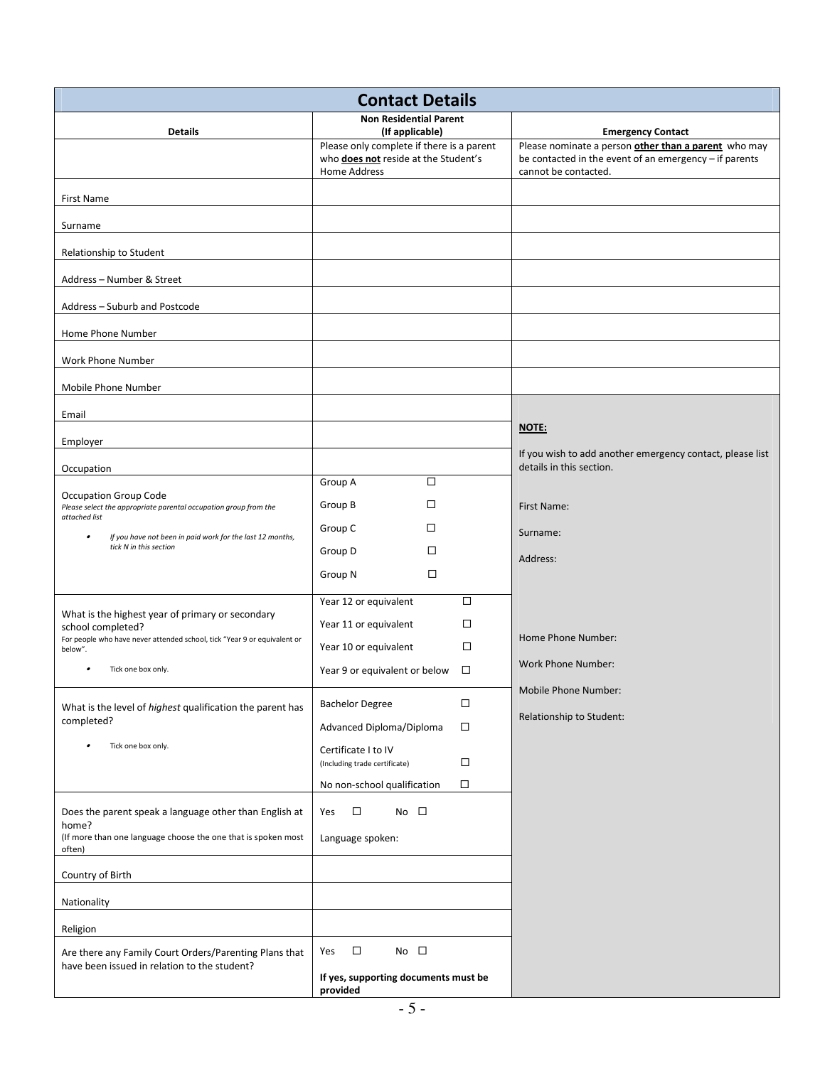| <b>Contact Details</b>                                                                                 |                                                                                                          |                                                                                                                                        |  |  |
|--------------------------------------------------------------------------------------------------------|----------------------------------------------------------------------------------------------------------|----------------------------------------------------------------------------------------------------------------------------------------|--|--|
| <b>Details</b>                                                                                         | <b>Non Residential Parent</b><br>(If applicable)                                                         | <b>Emergency Contact</b>                                                                                                               |  |  |
|                                                                                                        | Please only complete if there is a parent<br>who <b>does not</b> reside at the Student's<br>Home Address | Please nominate a person other than a parent who may<br>be contacted in the event of an emergency - if parents<br>cannot be contacted. |  |  |
| First Name                                                                                             |                                                                                                          |                                                                                                                                        |  |  |
| Surname                                                                                                |                                                                                                          |                                                                                                                                        |  |  |
| Relationship to Student                                                                                |                                                                                                          |                                                                                                                                        |  |  |
| Address - Number & Street                                                                              |                                                                                                          |                                                                                                                                        |  |  |
| Address - Suburb and Postcode                                                                          |                                                                                                          |                                                                                                                                        |  |  |
| Home Phone Number                                                                                      |                                                                                                          |                                                                                                                                        |  |  |
| Work Phone Number                                                                                      |                                                                                                          |                                                                                                                                        |  |  |
| Mobile Phone Number                                                                                    |                                                                                                          |                                                                                                                                        |  |  |
| Email                                                                                                  |                                                                                                          |                                                                                                                                        |  |  |
| Employer                                                                                               |                                                                                                          | NOTE:<br>If you wish to add another emergency contact, please list                                                                     |  |  |
| Occupation                                                                                             |                                                                                                          | details in this section.                                                                                                               |  |  |
| Occupation Group Code<br>Please select the appropriate parental occupation group from the              | □<br>Group A<br>Group B<br>□                                                                             | First Name:                                                                                                                            |  |  |
| attached list<br>If you have not been in paid work for the last 12 months,<br>٠                        | Group C<br>□                                                                                             | Surname:                                                                                                                               |  |  |
| tick N in this section                                                                                 | Group D<br>□                                                                                             | Address:                                                                                                                               |  |  |
|                                                                                                        | □<br>Group N                                                                                             |                                                                                                                                        |  |  |
| What is the highest year of primary or secondary                                                       | $\Box$<br>Year 12 or equivalent                                                                          |                                                                                                                                        |  |  |
| school completed?<br>For people who have never attended school, tick "Year 9 or equivalent or          | $\Box$<br>Year 11 or equivalent<br>□                                                                     | Home Phone Number:                                                                                                                     |  |  |
| below".<br>Tick one box only.                                                                          | Year 10 or equivalent<br>$\Box$<br>Year 9 or equivalent or below                                         | <b>Work Phone Number:</b>                                                                                                              |  |  |
|                                                                                                        |                                                                                                          | <b>Mobile Phone Number:</b>                                                                                                            |  |  |
| What is the level of highest qualification the parent has<br>completed?                                | <b>Bachelor Degree</b><br>$\Box$<br>Advanced Diploma/Diploma<br>$\Box$                                   | Relationship to Student:                                                                                                               |  |  |
| Tick one box only.                                                                                     | Certificate I to IV                                                                                      |                                                                                                                                        |  |  |
|                                                                                                        | $\Box$<br>(Including trade certificate)<br>□<br>No non-school qualification                              |                                                                                                                                        |  |  |
| Does the parent speak a language other than English at                                                 | $\Box$<br>No $\square$<br>Yes                                                                            |                                                                                                                                        |  |  |
| home?<br>(If more than one language choose the one that is spoken most                                 | Language spoken:                                                                                         |                                                                                                                                        |  |  |
| often)                                                                                                 |                                                                                                          |                                                                                                                                        |  |  |
| Country of Birth                                                                                       |                                                                                                          |                                                                                                                                        |  |  |
| Nationality                                                                                            |                                                                                                          |                                                                                                                                        |  |  |
| Religion                                                                                               |                                                                                                          |                                                                                                                                        |  |  |
| Are there any Family Court Orders/Parenting Plans that<br>have been issued in relation to the student? | $\Box$<br>No $\square$<br>Yes                                                                            |                                                                                                                                        |  |  |
|                                                                                                        | If yes, supporting documents must be<br>provided                                                         |                                                                                                                                        |  |  |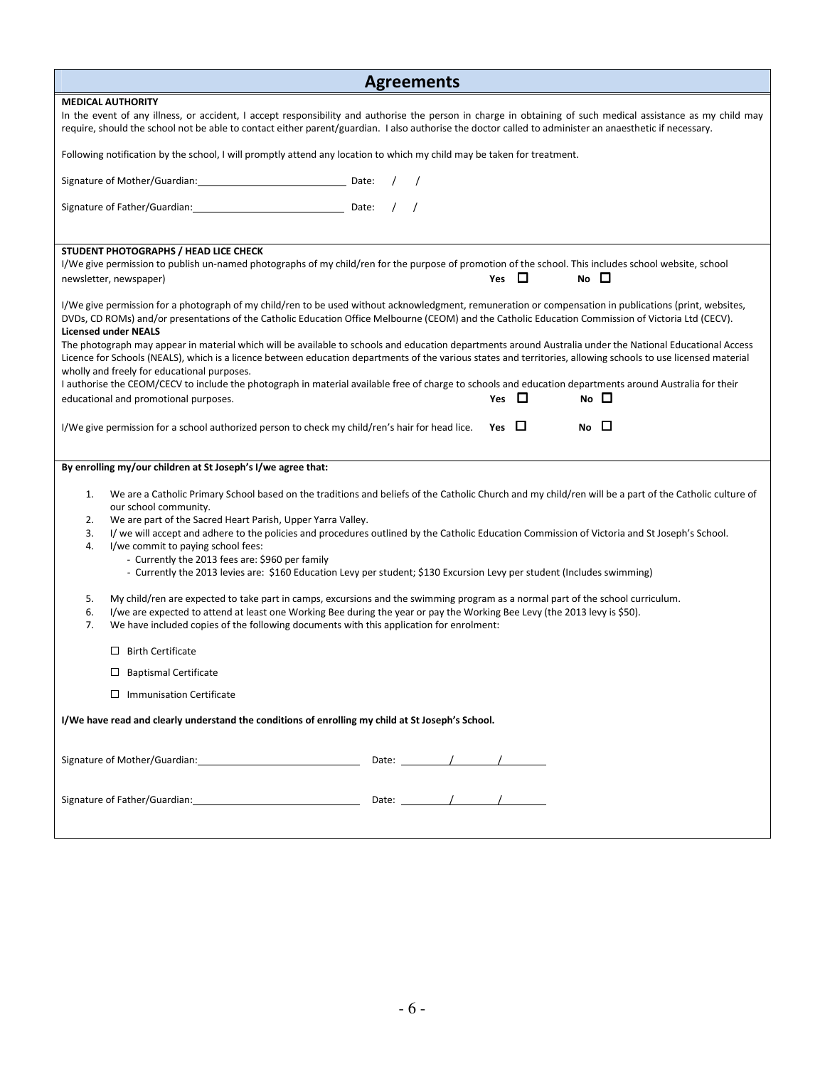| <b>Agreements</b>                                                                                                                                                                                                                                                                                                                                                          |
|----------------------------------------------------------------------------------------------------------------------------------------------------------------------------------------------------------------------------------------------------------------------------------------------------------------------------------------------------------------------------|
| <b>MEDICAL AUTHORITY</b>                                                                                                                                                                                                                                                                                                                                                   |
| In the event of any illness, or accident, I accept responsibility and authorise the person in charge in obtaining of such medical assistance as my child may<br>require, should the school not be able to contact either parent/guardian. I also authorise the doctor called to administer an anaesthetic if necessary.                                                    |
| Following notification by the school, I will promptly attend any location to which my child may be taken for treatment.                                                                                                                                                                                                                                                    |
| Signature of Mother/Guardian: Date:                                                                                                                                                                                                                                                                                                                                        |
|                                                                                                                                                                                                                                                                                                                                                                            |
| STUDENT PHOTOGRAPHS / HEAD LICE CHECK                                                                                                                                                                                                                                                                                                                                      |
| I/We give permission to publish un-named photographs of my child/ren for the purpose of promotion of the school. This includes school website, school<br>Yes $\Box$<br>$No$ $\Box$<br>newsletter, newspaper)                                                                                                                                                               |
| I/We give permission for a photograph of my child/ren to be used without acknowledgment, remuneration or compensation in publications (print, websites,<br>DVDs, CD ROMs) and/or presentations of the Catholic Education Office Melbourne (CEOM) and the Catholic Education Commission of Victoria Ltd (CECV).<br><b>Licensed under NEALS</b>                              |
| The photograph may appear in material which will be available to schools and education departments around Australia under the National Educational Access<br>Licence for Schools (NEALS), which is a licence between education departments of the various states and territories, allowing schools to use licensed material<br>wholly and freely for educational purposes. |
| I authorise the CEOM/CECV to include the photograph in material available free of charge to schools and education departments around Australia for their<br>Yes $\Box$<br>$No$ $\Box$<br>educational and promotional purposes.                                                                                                                                             |
|                                                                                                                                                                                                                                                                                                                                                                            |
| Yes $\Box$<br>No $\Box$<br>I/We give permission for a school authorized person to check my child/ren's hair for head lice.                                                                                                                                                                                                                                                 |
| By enrolling my/our children at St Joseph's I/we agree that:                                                                                                                                                                                                                                                                                                               |
| We are a Catholic Primary School based on the traditions and beliefs of the Catholic Church and my child/ren will be a part of the Catholic culture of<br>1.<br>our school community.                                                                                                                                                                                      |
| We are part of the Sacred Heart Parish, Upper Yarra Valley.<br>2.<br>3.                                                                                                                                                                                                                                                                                                    |
| I/ we will accept and adhere to the policies and procedures outlined by the Catholic Education Commission of Victoria and St Joseph's School.<br>I/we commit to paying school fees:<br>4.                                                                                                                                                                                  |
| - Currently the 2013 fees are: \$960 per family                                                                                                                                                                                                                                                                                                                            |
| - Currently the 2013 levies are: \$160 Education Levy per student; \$130 Excursion Levy per student (Includes swimming)                                                                                                                                                                                                                                                    |
| My child/ren are expected to take part in camps, excursions and the swimming program as a normal part of the school curriculum.<br>5.<br>I/we are expected to attend at least one Working Bee during the year or pay the Working Bee Levy (the 2013 levy is \$50).<br>6.<br>7.<br>We have included copies of the following documents with this application for enrolment:  |
| $\Box$ Birth Certificate                                                                                                                                                                                                                                                                                                                                                   |
| $\Box$ Baptismal Certificate                                                                                                                                                                                                                                                                                                                                               |
| $\Box$ Immunisation Certificate                                                                                                                                                                                                                                                                                                                                            |
| I/We have read and clearly understand the conditions of enrolling my child at St Joseph's School.                                                                                                                                                                                                                                                                          |
|                                                                                                                                                                                                                                                                                                                                                                            |
|                                                                                                                                                                                                                                                                                                                                                                            |
|                                                                                                                                                                                                                                                                                                                                                                            |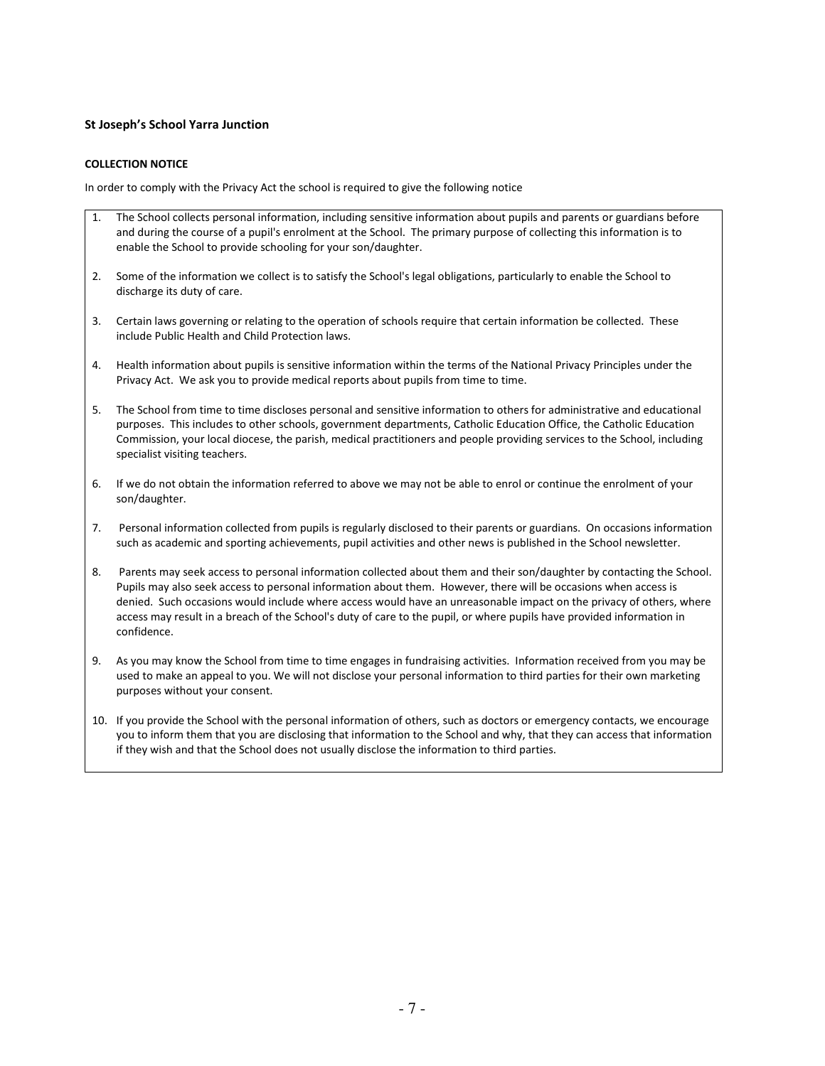### **St Joseph's School Yarra Junction**

#### **COLLECTION NOTICE**

In order to comply with the Privacy Act the school is required to give the following notice

- 1. The School collects personal information, including sensitive information about pupils and parents or guardians before and during the course of a pupil's enrolment at the School. The primary purpose of collecting this information is to enable the School to provide schooling for your son/daughter.
- 2. Some of the information we collect is to satisfy the School's legal obligations, particularly to enable the School to discharge its duty of care.
- 3. Certain laws governing or relating to the operation of schools require that certain information be collected. These include Public Health and Child Protection laws.
- 4. Health information about pupils is sensitive information within the terms of the National Privacy Principles under the Privacy Act. We ask you to provide medical reports about pupils from time to time.
- 5. The School from time to time discloses personal and sensitive information to others for administrative and educational purposes. This includes to other schools, government departments, Catholic Education Office, the Catholic Education Commission, your local diocese, the parish, medical practitioners and people providing services to the School, including specialist visiting teachers.
- 6. If we do not obtain the information referred to above we may not be able to enrol or continue the enrolment of your son/daughter.
- 7. Personal information collected from pupils is regularly disclosed to their parents or guardians. On occasions information such as academic and sporting achievements, pupil activities and other news is published in the School newsletter.
- 8. Parents may seek access to personal information collected about them and their son/daughter by contacting the School. Pupils may also seek access to personal information about them. However, there will be occasions when access is denied. Such occasions would include where access would have an unreasonable impact on the privacy of others, where access may result in a breach of the School's duty of care to the pupil, or where pupils have provided information in confidence.
- 9. As you may know the School from time to time engages in fundraising activities. Information received from you may be used to make an appeal to you. We will not disclose your personal information to third parties for their own marketing purposes without your consent.
- 10. If you provide the School with the personal information of others, such as doctors or emergency contacts, we encourage you to inform them that you are disclosing that information to the School and why, that they can access that information if they wish and that the School does not usually disclose the information to third parties.